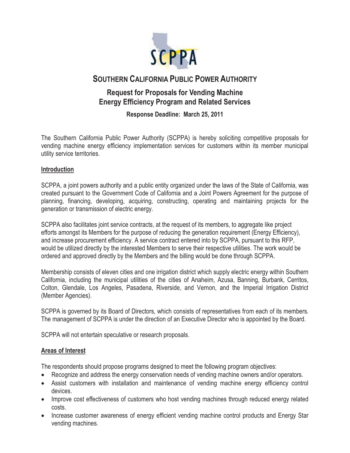

# **SOUTHERN CALIFORNIA PUBLIC POWER AUTHORITY**

## **Request for Proposals for Vending Machine Energy Efficiency Program and Related Services**

**Response Deadline: March 25, 2011** 

The Southern California Public Power Authority (SCPPA) is hereby soliciting competitive proposals for vending machine energy efficiency implementation services for customers within its member municipal utility service territories.

### **Introduction**

SCPPA, a joint powers authority and a public entity organized under the laws of the State of California, was created pursuant to the Government Code of California and a Joint Powers Agreement for the purpose of planning, financing, developing, acquiring, constructing, operating and maintaining projects for the generation or transmission of electric energy.

SCPPA also facilitates joint service contracts, at the request of its members, to aggregate like project efforts amongst its Members for the purpose of reducing the generation requirement (Energy Efficiency), and increase procurement efficiency. A service contract entered into by SCPPA, pursuant to this RFP, would be utilized directly by the interested Members to serve their respective utilities. The work would be ordered and approved directly by the Members and the billing would be done through SCPPA.

Membership consists of eleven cities and one irrigation district which supply electric energy within Southern California, including the municipal utilities of the cities of Anaheim, Azusa, Banning, Burbank, Cerritos, Colton, Glendale, Los Angeles, Pasadena, Riverside, and Vernon, and the Imperial Irrigation District (Member Agencies).

SCPPA is governed by its Board of Directors, which consists of representatives from each of its members. The management of SCPPA is under the direction of an Executive Director who is appointed by the Board.

SCPPA will not entertain speculative or research proposals.

### **Areas of Interest**

The respondents should propose programs designed to meet the following program objectives:

- Recognize and address the energy conservation needs of vending machine owners and/or operators.
- Assist customers with installation and maintenance of vending machine energy efficiency control devices.
- Improve cost effectiveness of customers who host vending machines through reduced energy related costs.
- Increase customer awareness of energy efficient vending machine control products and Energy Star vending machines.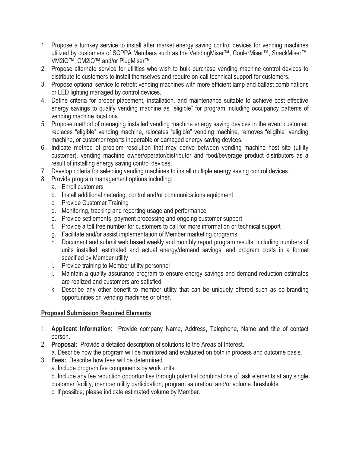- 1. Propose a turnkey service to install after market energy saving control devices for vending machines utilized by customers of SCPPA Members such as the VendingMiser™, CoolerMiser™, SnackMiser™, VM2iQ™, CM2iQ™ and/or PlugMiser™.
- 2. Propose alternate service for utilities who wish to bulk purchase vending machine control devices to distribute to customers to install themselves and require on-call technical support for customers.
- 3. Propose optional service to retrofit vending machines with more efficient lamp and ballast combinations or LED lighting managed by control devices.
- 4. Define criteria for proper placement, installation, and maintenance suitable to achieve cost effective energy savings to qualify vending machine as "eligible" for program including occupancy patterns of vending machine locations.
- 5. Propose method of managing installed vending machine energy saving devices in the event customer: replaces "eligible" vending machine, relocates "eligible" vending machine, removes "eligible" vending machine, or customer reports inoperable or damaged energy saving devices.
- 6. Indicate method of problem resolution that may derive between vending machine host site (utility customer), vending machine owner/operator/distributor and food/beverage product distributors as a result of installing energy saving control devices.
- 7. Develop criteria for selecting vending machines to install multiple energy saving control devices.
- 8. Provide program management options including:
	- a. Enroll customers
	- b. Install additional metering, control and/or communications equipment
	- c. Provide Customer Training
	- d. Monitoring, tracking and reporting usage and performance
	- e. Provide settlements, payment processing and ongoing customer support
	- f. Provide a toll free number for customers to call for more information or technical support
	- g. Facilitate and/or assist implementation of Member marketing programs
	- h. Document and submit web based weekly and monthly report program results, including numbers of units installed, estimated and actual energy/demand savings, and program costs in a format specified by Member utility
	- i. Provide training to Member utility personnel
	- j. Maintain a quality assurance program to ensure energy savings and demand reduction estimates are realized and customers are satisfied
	- k. Describe any other benefit to member utility that can be uniquely offered such as co-branding opportunities on vending machines or other.

### **Proposal Submission Required Elements**

- 1. **Applicant Information**: Provide company Name, Address, Telephone, Name and title of contact person.
- 2. **Proposal:** Provide a detailed description of solutions to the Areas of Interest.
	- a. Describe how the program will be monitored and evaluated on both in process and outcome basis.
- 3. **Fees:** Describe how fees will be determined
	- a. Include program fee components by work units.

b. Include any fee reduction opportunities through potential combinations of task elements at any single customer facility, member utility participation, program saturation, and/or volume thresholds.

c. If possible, please indicate estimated volume by Member.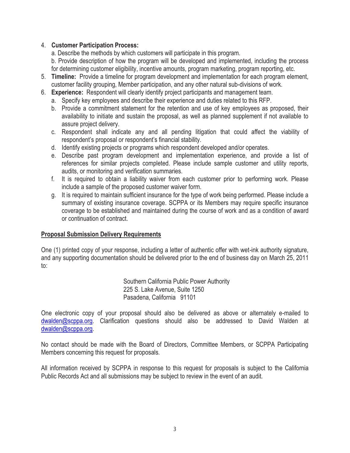#### 4. **Customer Participation Process:**

a. Describe the methods by which customers will participate in this program.

b. Provide description of how the program will be developed and implemented, including the process for determining customer eligibility, incentive amounts, program marketing, program reporting, etc.

- 5. **Timeline:** Provide a timeline for program development and implementation for each program element, customer facility grouping, Member participation, and any other natural sub-divisions of work.
- 6. **Experience:** Respondent will clearly identify project participants and management team.
	- a. Specify key employees and describe their experience and duties related to this RFP.
	- b. Provide a commitment statement for the retention and use of key employees as proposed, their availability to initiate and sustain the proposal, as well as planned supplement if not available to assure project delivery.
	- c. Respondent shall indicate any and all pending litigation that could affect the viability of respondent's proposal or respondent's financial stability.
	- d. Identify existing projects or programs which respondent developed and/or operates.
	- e. Describe past program development and implementation experience, and provide a list of references for similar projects completed. Please include sample customer and utility reports, audits, or monitoring and verification summaries.
	- f. It is required to obtain a liability waiver from each customer prior to performing work. Please include a sample of the proposed customer waiver form.
	- g. It is required to maintain sufficient insurance for the type of work being performed. Please include a summary of existing insurance coverage. SCPPA or its Members may require specific insurance coverage to be established and maintained during the course of work and as a condition of award or continuation of contract.

### **Proposal Submission Delivery Requirements**

One (1) printed copy of your response, including a letter of authentic offer with wet-ink authority signature, and any supporting documentation should be delivered prior to the end of business day on March 25, 2011 to:

> Southern California Public Power Authority 225 S. Lake Avenue, Suite 1250 Pasadena, California 91101

One electronic copy of your proposal should also be delivered as above or alternately e-mailed to dwalden@scppa.org. Clarification questions should also be addressed to David Walden at dwalden@scppa.org.

No contact should be made with the Board of Directors, Committee Members, or SCPPA Participating Members concerning this request for proposals.

All information received by SCPPA in response to this request for proposals is subject to the California Public Records Act and all submissions may be subject to review in the event of an audit.